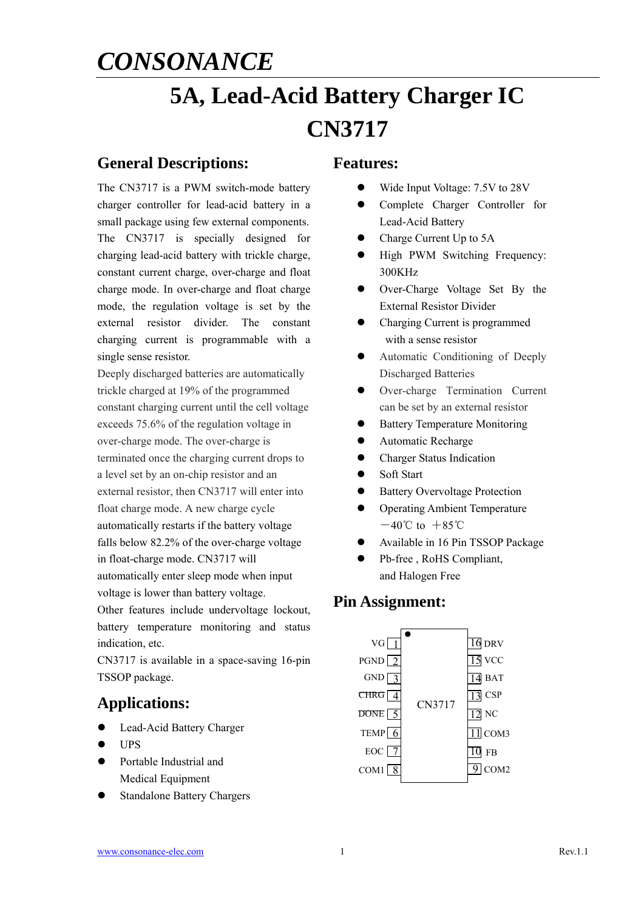# **5A, Lead-Acid Battery Charger IC CN3717**

### **General Descriptions:**

The CN3717 is a PWM switch-mode battery charger controller for lead-acid battery in a small package using few external components. The CN3717 is specially designed for charging lead-acid battery with trickle charge, constant current charge, over-charge and float charge mode. In over-charge and float charge mode, the regulation voltage is set by the external resistor divider. The constant charging current is programmable with a single sense resistor.

Deeply discharged batteries are automatically trickle charged at 19% of the programmed constant charging current until the cell voltage exceeds 75.6% of the regulation voltage in over-charge mode. The over-charge is terminated once the charging current drops to a level set by an on-chip resistor and an external resistor, then CN3717 will enter into float charge mode. A new charge cycle automatically restarts if the battery voltage falls below 82.2% of the over-charge voltage in float-charge mode. CN3717 will automatically enter sleep mode when input

voltage is lower than battery voltage. Other features include undervoltage lockout, battery temperature monitoring and status

indication, etc. CN3717 is available in a space-saving 16-pin TSSOP package.

## **Applications:**

- Lead-Acid Battery Charger
- UPS
- Portable Industrial and Medical Equipment
- Standalone Battery Chargers

### **Features:**

- Wide Input Voltage: 7.5V to 28V
- Complete Charger Controller for Lead-Acid Battery
- Charge Current Up to 5A
- High PWM Switching Frequency: 300KHz
- Over-Charge Voltage Set By the External Resistor Divider
- Charging Current is programmed with a sense resistor
- Automatic Conditioning of Deeply Discharged Batteries
- Over-charge Termination Current can be set by an external resistor
- Battery Temperature Monitoring
- Automatic Recharge
- **•** Charger Status Indication
- Soft Start
- Battery Overvoltage Protection
- Operating Ambient Temperature  $-40^{\circ}$ C to  $+85^{\circ}$ C
- Available in 16 Pin TSSOP Package
- Pb-free , RoHS Compliant, and Halogen Free

## **Pin Assignment:**

| $VG\boxed{1}$       |        | 16 DRV           |
|---------------------|--------|------------------|
| PGND $\boxed{2}$    |        | $15$ VCC         |
| GND<br>$\mathbf{R}$ |        | <b>BAT</b>       |
| CHRG $\sqrt{4}$     | CN3717 | $13$ CSP         |
| DONE  <br>$\sim$    |        | $_{\mathrm{NC}}$ |
| TEMP $6$            |        | $11$ COM3        |
| $EOC$ $7$           |        | FB               |
| COM1                |        | COM <sub>2</sub> |
|                     |        |                  |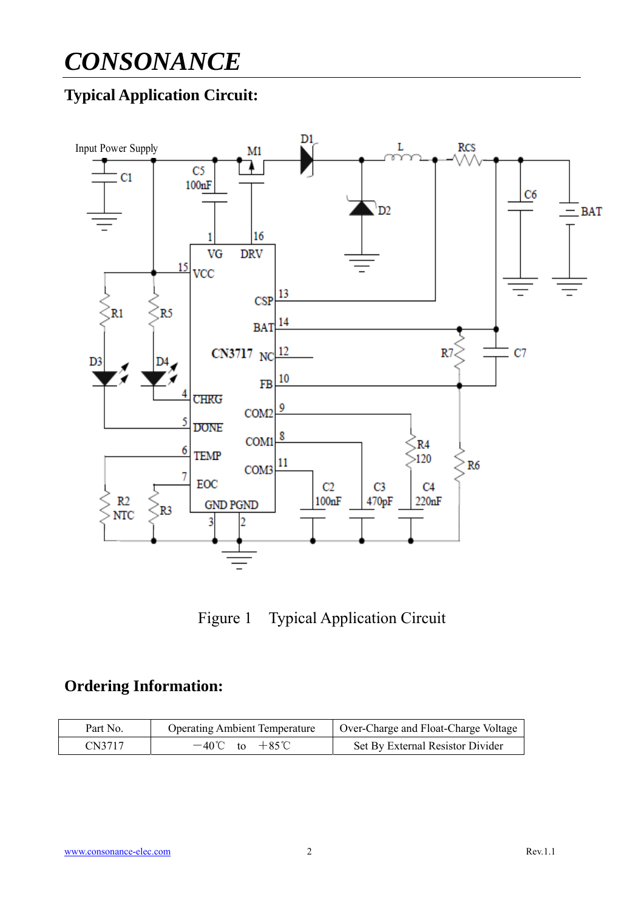## **Typical Application Circuit:**



Figure 1 Typical Application Circuit

## **Ordering Information:**

| Part No. | <b>Operating Ambient Temperature</b> | Over-Charge and Float-Charge Voltage |  |  |
|----------|--------------------------------------|--------------------------------------|--|--|
| CN3717   | $-40^{\circ}$ C to $+85^{\circ}$ C   | Set By External Resistor Divider     |  |  |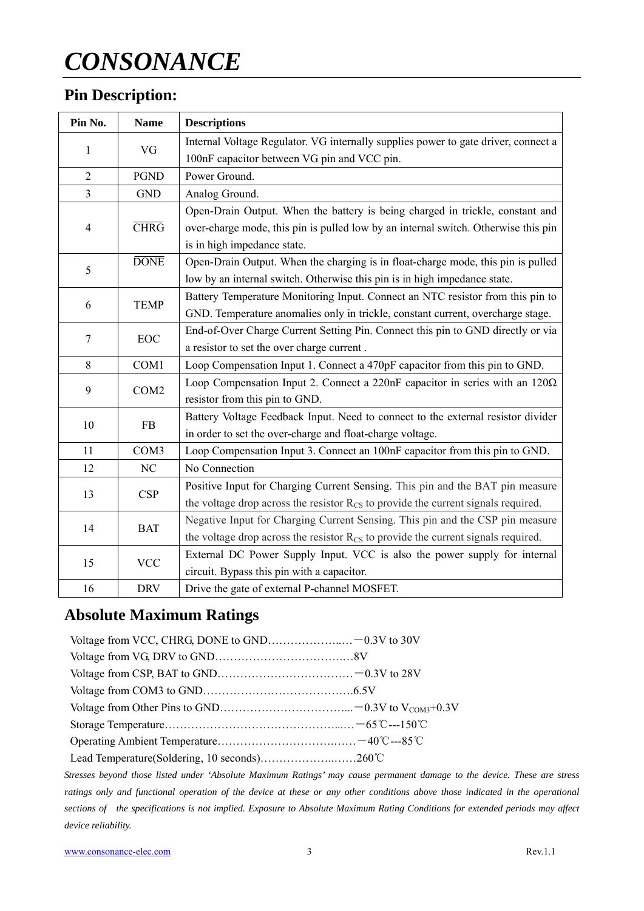## **Pin Description:**

| Pin No.               | <b>Name</b> | <b>Descriptions</b>                                                                           |  |  |
|-----------------------|-------------|-----------------------------------------------------------------------------------------------|--|--|
| VG<br>1               |             | Internal Voltage Regulator. VG internally supplies power to gate driver, connect a            |  |  |
|                       |             | 100nF capacitor between VG pin and VCC pin.                                                   |  |  |
| $\overline{2}$        | <b>PGND</b> | Power Ground.                                                                                 |  |  |
| $\overline{3}$        | <b>GND</b>  | Analog Ground.                                                                                |  |  |
|                       |             | Open-Drain Output. When the battery is being charged in trickle, constant and                 |  |  |
| $\overline{4}$        | <b>CHRG</b> | over-charge mode, this pin is pulled low by an internal switch. Otherwise this pin            |  |  |
|                       |             | is in high impedance state.                                                                   |  |  |
| 5                     | <b>DONE</b> | Open-Drain Output. When the charging is in float-charge mode, this pin is pulled              |  |  |
|                       |             | low by an internal switch. Otherwise this pin is in high impedance state.                     |  |  |
| 6                     | <b>TEMP</b> | Battery Temperature Monitoring Input. Connect an NTC resistor from this pin to                |  |  |
|                       |             | GND. Temperature anomalies only in trickle, constant current, overcharge stage.               |  |  |
| $\overline{7}$        |             | End-of-Over Charge Current Setting Pin. Connect this pin to GND directly or via               |  |  |
|                       | EOC         | a resistor to set the over charge current.                                                    |  |  |
| 8                     | COM1        | Loop Compensation Input 1. Connect a 470pF capacitor from this pin to GND.                    |  |  |
| 9<br>COM <sub>2</sub> |             | Loop Compensation Input 2. Connect a 220nF capacitor in series with an 12002                  |  |  |
|                       |             | resistor from this pin to GND.                                                                |  |  |
| 10                    | FB          | Battery Voltage Feedback Input. Need to connect to the external resistor divider              |  |  |
|                       |             | in order to set the over-charge and float-charge voltage.                                     |  |  |
| 11                    | COM3        | Loop Compensation Input 3. Connect an 100nF capacitor from this pin to GND.                   |  |  |
| 12                    | NC          | No Connection                                                                                 |  |  |
| 13                    |             | Positive Input for Charging Current Sensing. This pin and the BAT pin measure                 |  |  |
|                       | <b>CSP</b>  | the voltage drop across the resistor $R_{\text{CS}}$ to provide the current signals required. |  |  |
| 14                    | <b>BAT</b>  | Negative Input for Charging Current Sensing. This pin and the CSP pin measure                 |  |  |
|                       |             | the voltage drop across the resistor $R_{\text{CS}}$ to provide the current signals required. |  |  |
| 15                    | <b>VCC</b>  | External DC Power Supply Input. VCC is also the power supply for internal                     |  |  |
|                       |             | circuit. Bypass this pin with a capacitor.                                                    |  |  |
| 16                    | <b>DRV</b>  | Drive the gate of external P-channel MOSFET.                                                  |  |  |

## **Absolute Maximum Ratings**

*Stresses beyond those listed under 'Absolute Maximum Ratings' may cause permanent damage to the device. These are stress ratings only and functional operation of the device at these or any other conditions above those indicated in the operational sections of the specifications is not implied. Exposure to Absolute Maximum Rating Conditions for extended periods may affect device reliability.*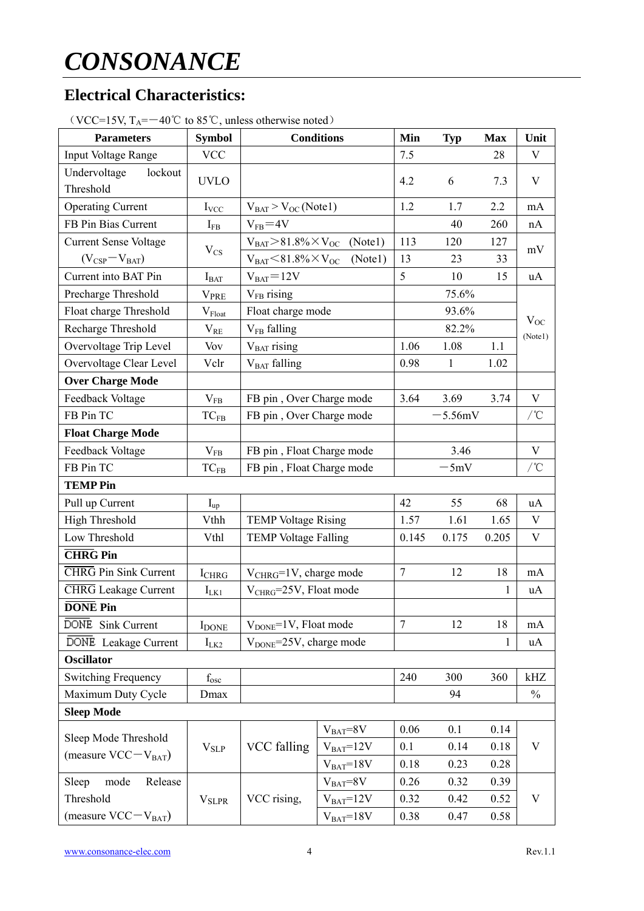## **Electrical Characteristics:**

| 1.9, 1.4<br><b>Parameters</b>                    | <b>Symbol</b>            |                                     | <b>Conditions</b> | Min            | Typ          | <b>Max</b> | Unit          |  |
|--------------------------------------------------|--------------------------|-------------------------------------|-------------------|----------------|--------------|------------|---------------|--|
| Input Voltage Range                              | <b>VCC</b>               |                                     |                   | 7.5            |              | 28         | V             |  |
| Undervoltage<br>lockout<br>Threshold             | <b>UVLO</b>              |                                     |                   | 4.2            | 6            | 7.3        | V             |  |
| <b>Operating Current</b>                         | $I_{VCC}$                | $V_{BAT}$ > $V_{OC}$ (Note1)        |                   | 1.2            | 1.7          | 2.2        | mA            |  |
| FB Pin Bias Current                              | $I_{FB}$                 | $V_{FB} = 4V$                       |                   |                | 40           | 260        | nA            |  |
| <b>Current Sense Voltage</b>                     |                          | $V_{BAT} > 81.8\% \times V_{OC}$    | (Note1)           | 113            | 120          | 127        |               |  |
| $(V_{CSP}-V_{BAT})$                              | $V_{CS}$                 | $V_{BAT} < 81.8\% \times V_{OC}$    | (Notel)           | 13             | 23           | 33         | mV            |  |
| Current into BAT Pin                             | $I_{BAT}$                | $V_{BAT} = 12V$                     |                   | 5              | 10           | 15         | uA            |  |
| Precharge Threshold                              | <b>VPRE</b>              | $V_{FB}$ rising                     |                   |                | 75.6%        |            |               |  |
| Float charge Threshold                           | $V_{\text{Float}}$       | Float charge mode                   |                   |                | 93.6%        |            |               |  |
| Recharge Threshold                               | $\rm V_{RE}$             | V <sub>FB</sub> falling             |                   |                | 82.2%        |            | $V_{OC}$      |  |
| Overvoltage Trip Level                           | Vov                      | $VBAT$ rising                       |                   | 1.06           | 1.08         | 1.1        | (Notel)       |  |
| Overvoltage Clear Level                          | Vclr                     | V <sub>BAT</sub> falling            |                   | 0.98           | $\mathbf{1}$ | 1.02       |               |  |
| <b>Over Charge Mode</b>                          |                          |                                     |                   |                |              |            |               |  |
| Feedback Voltage                                 | $V_{FB}$                 | FB pin, Over Charge mode            |                   | 3.64           | 3.69         | 3.74       | V             |  |
| FB Pin TC                                        | $TC_{FB}$                | FB pin, Over Charge mode            |                   |                | $-5.56mV$    |            | /°C           |  |
| <b>Float Charge Mode</b>                         |                          |                                     |                   |                |              |            |               |  |
| Feedback Voltage                                 | $V_{FB}$                 | FB pin, Float Charge mode           |                   |                | 3.46         |            | V             |  |
| FB Pin TC                                        | $TC_{FB}$                | FB pin, Float Charge mode           |                   | $-5mV$         |              | /°C        |               |  |
| <b>TEMP Pin</b>                                  |                          |                                     |                   |                |              |            |               |  |
| Pull up Current                                  | $I_{up}$                 |                                     |                   | 42             | 55           | 68         | uA            |  |
| <b>High Threshold</b>                            | Vthh                     | <b>TEMP Voltage Rising</b>          |                   | 1.57           | 1.61         | 1.65       | V             |  |
| Low Threshold                                    | Vthl                     | <b>TEMP Voltage Falling</b>         |                   | 0.145          | 0.175        | 0.205      | $\mathbf V$   |  |
| <b>CHRG</b> Pin                                  |                          |                                     |                   |                |              |            |               |  |
| <b>CHRG</b> Pin Sink Current                     | <b>I</b> CHRG            | $V_{CHRG} = 1V$ , charge mode       |                   | $\tau$         | 12           | 18         | mA            |  |
| <b>CHRG</b> Leakage Current                      | $I_{LK1}$                | V <sub>CHRG</sub> =25V, Float mode  |                   |                |              | 1          | uA            |  |
| <b>DONE</b> Pin                                  |                          |                                     |                   |                |              |            |               |  |
| DONE Sink Current                                | <b>I</b> DONE            | V <sub>DONE</sub> =1V, Float mode   |                   | $\overline{7}$ | 12           | 18         | mA            |  |
| DONE Leakage Current                             | $I_{LK2}$                | V <sub>DONE</sub> =25V, charge mode |                   |                |              | 1          | uA            |  |
| <b>Oscillator</b>                                |                          |                                     |                   |                |              |            |               |  |
| <b>Switching Frequency</b>                       | $f_{\rm osc}$            |                                     |                   | 240            | 300          | 360        | kHz           |  |
| Maximum Duty Cycle                               | Dmax                     |                                     |                   |                | 94           |            | $\frac{0}{0}$ |  |
| <b>Sleep Mode</b>                                |                          |                                     |                   |                |              |            |               |  |
|                                                  |                          |                                     | $V_{BAT} = 8V$    | 0.06           | 0.1          | 0.14       |               |  |
| Sleep Mode Threshold<br>(measure $VCC-V_{BAT}$ ) | $\rm V_{SLP}$            | VCC falling                         | $VBAT=12V$        | 0.1            | 0.14         | 0.18       | V             |  |
|                                                  |                          |                                     | $V_{BAT}=18V$     | 0.18           | 0.23         | 0.28       |               |  |
| mode<br>Sleep<br>Release                         |                          |                                     | $V_{BAT} = 8V$    | 0.26           | 0.32         | 0.39       |               |  |
| Threshold                                        | <b>V</b> <sub>SLPR</sub> | VCC rising,                         | $V_{BAT}=12V$     | 0.32           | 0.42         | 0.52       | V             |  |
| (measure $VCC-V_{BAT}$ )                         |                          |                                     | $VBAT=18V$        | 0.38           | 0.47         | 0.58       |               |  |

 $(VCC=15V)$  T<sub>A</sub>= $-40^{\circ}$ C to 85<sup>°</sup>C, unless otherwise noted)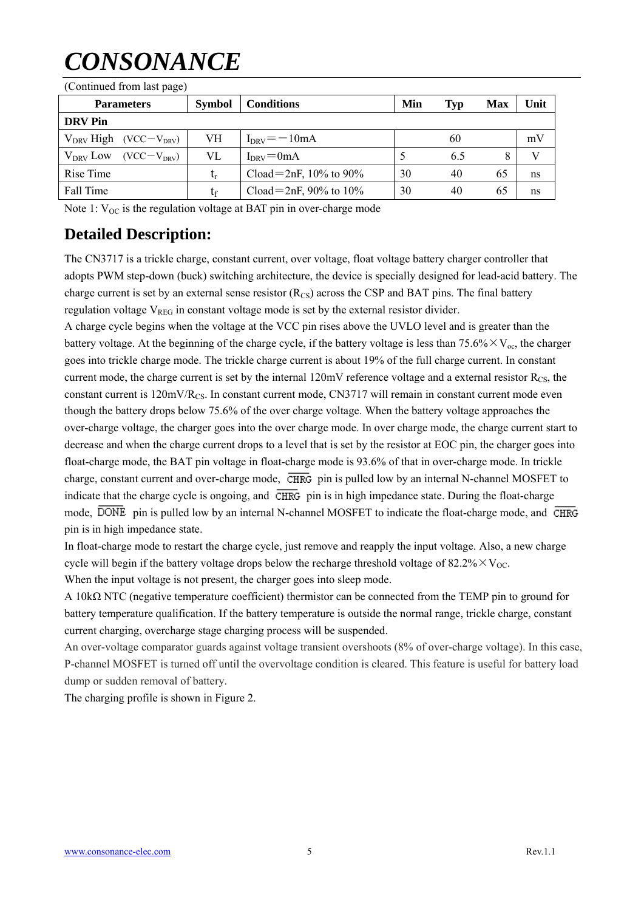| (Continued from last page)       |                        |                          |     |            |     |      |  |
|----------------------------------|------------------------|--------------------------|-----|------------|-----|------|--|
| <b>Parameters</b>                | <b>Symbol</b>          | <b>Conditions</b>        | Min | <b>Typ</b> | Max | Unit |  |
| <b>DRV</b> Pin                   |                        |                          |     |            |     |      |  |
| $V_{DRV}$ High (VCC $-V_{DRV}$ ) | VH                     | $I_{DRV} = -10mA$        |     | 60         |     | mV   |  |
| $V_{DRV}$ Low<br>$(VCC-VDRV)$    | VL                     | $I_{DRV} = 0$ mA         |     | 6.5        |     | V    |  |
| Rise Time                        | $\mathfrak{t}_{\rm r}$ | Cload=2nF, $10\%$ to 90% | 30  | 40         | 65  | ns   |  |
| Fall Time                        | tr                     | Cload=2nF, 90% to $10\%$ | 30  | 40         | 65  | ns   |  |

Note 1:  $V_{OC}$  is the regulation voltage at BAT pin in over-charge mode

### **Detailed Description:**

The CN3717 is a trickle charge, constant current, over voltage, float voltage battery charger controller that adopts PWM step-down (buck) switching architecture, the device is specially designed for lead-acid battery. The charge current is set by an external sense resistor  $(R_{CS})$  across the CSP and BAT pins. The final battery regulation voltage  $V_{REG}$  in constant voltage mode is set by the external resistor divider.

A charge cycle begins when the voltage at the VCC pin rises above the UVLO level and is greater than the battery voltage. At the beginning of the charge cycle, if the battery voltage is less than 75.6% $\times$ V<sub>oc</sub>, the charger goes into trickle charge mode. The trickle charge current is about 19% of the full charge current. In constant current mode, the charge current is set by the internal  $120mV$  reference voltage and a external resistor  $R_{CS}$ , the constant current is 120mV/R<sub>CS</sub>. In constant current mode, CN3717 will remain in constant current mode even though the battery drops below 75.6% of the over charge voltage. When the battery voltage approaches the over-charge voltage, the charger goes into the over charge mode. In over charge mode, the charge current start to decrease and when the charge current drops to a level that is set by the resistor at EOC pin, the charger goes into float-charge mode, the BAT pin voltage in float-charge mode is 93.6% of that in over-charge mode. In trickle charge, constant current and over-charge mode, CHRG pin is pulled low by an internal N-channel MOSFET to indicate that the charge cycle is ongoing, and  $\overline{\text{CHRG}}$  pin is in high impedance state. During the float-charge mode,  $\overline{DONE}$  pin is pulled low by an internal N-channel MOSFET to indicate the float-charge mode, and  $\overline{CHRG}$ pin is in high impedance state.

In float-charge mode to restart the charge cycle, just remove and reapply the input voltage. Also, a new charge cycle will begin if the battery voltage drops below the recharge threshold voltage of  $82.2\% \times V_{OC}$ . When the input voltage is not present, the charger goes into sleep mode.

A 10kΩ NTC (negative temperature coefficient) thermistor can be connected from the TEMP pin to ground for battery temperature qualification. If the battery temperature is outside the normal range, trickle charge, constant current charging, overcharge stage charging process will be suspended.

An over-voltage comparator guards against voltage transient overshoots (8% of over-charge voltage). In this case, P-channel MOSFET is turned off until the overvoltage condition is cleared. This feature is useful for battery load dump or sudden removal of battery.

The charging profile is shown in Figure 2.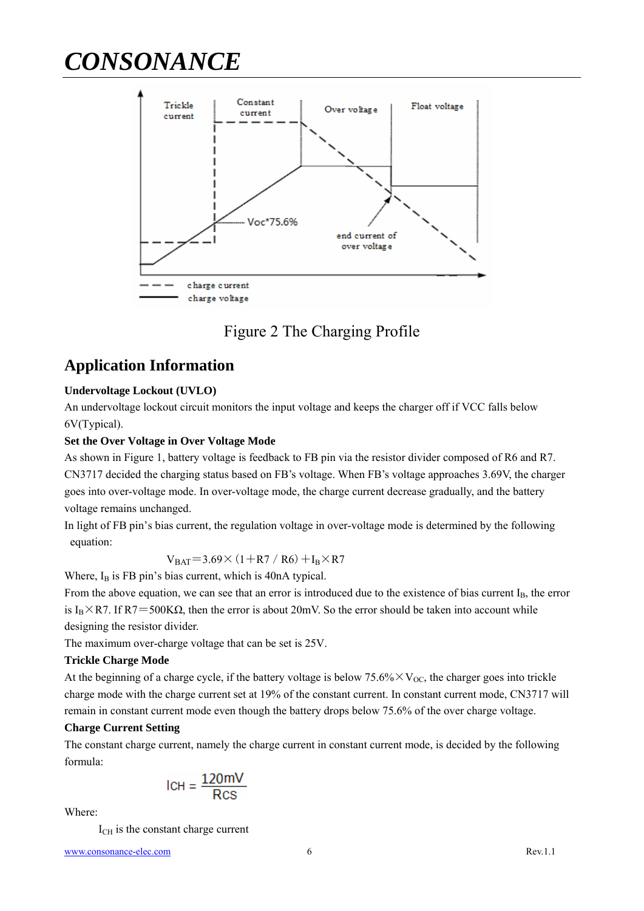

## Figure 2 The Charging Profile

### **Application Information**

#### **Undervoltage Lockout (UVLO)**

An undervoltage lockout circuit monitors the input voltage and keeps the charger off if VCC falls below 6V(Typical).

#### **Set the Over Voltage in Over Voltage Mode**

As shown in Figure 1, battery voltage is feedback to FB pin via the resistor divider composed of R6 and R7. CN3717 decided the charging status based on FB's voltage. When FB's voltage approaches 3.69V, the charger goes into over-voltage mode. In over-voltage mode, the charge current decrease gradually, and the battery voltage remains unchanged.

In light of FB pin's bias current, the regulation voltage in over-voltage mode is determined by the following equation:

$$
V_{BAT}
$$
=3.69 $\times$  (1+R7 / R6) + $I_B \times R7$ 

Where,  $I_B$  is FB pin's bias current, which is 40nA typical.

From the above equation, we can see that an error is introduced due to the existence of bias current  $I_B$ , the error is I<sub>B</sub>×R7. If R7=500KΩ, then the error is about 20mV. So the error should be taken into account while designing the resistor divider.

The maximum over-charge voltage that can be set is 25V.

#### **Trickle Charge Mode**

At the beginning of a charge cycle, if the battery voltage is below  $75.6\% \times V_{\text{OC}}$ , the charger goes into trickle charge mode with the charge current set at 19% of the constant current. In constant current mode, CN3717 will remain in constant current mode even though the battery drops below 75.6% of the over charge voltage.

#### **Charge Current Setting**

The constant charge current, namely the charge current in constant current mode, is decided by the following formula:

$$
ICH = \frac{120 \text{mV}}{\text{Rcs}}
$$

Where:

 $I_{\text{CH}}$  is the constant charge current

www.consonance-elec.com 6 Rev.1.1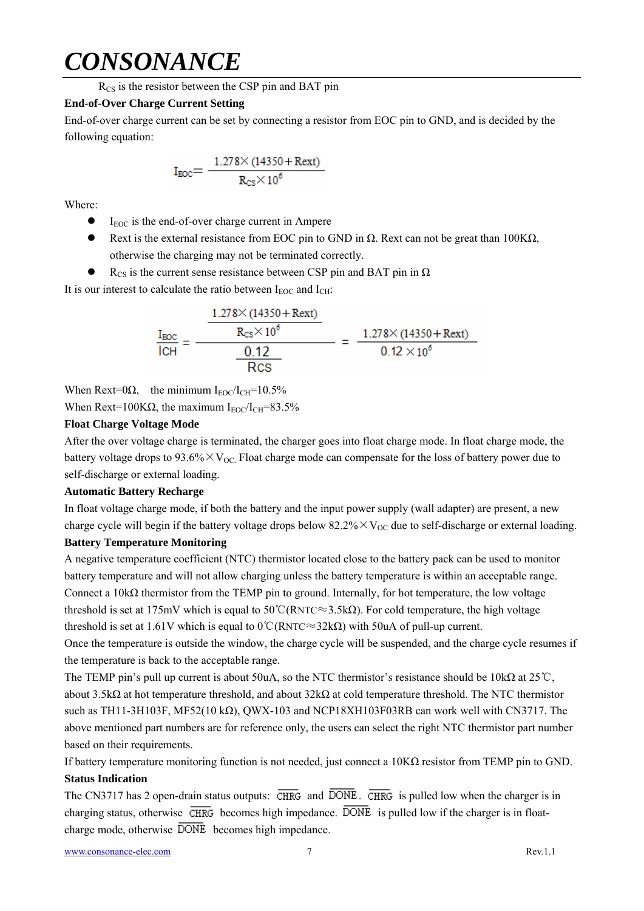$R_{CS}$  is the resistor between the CSP pin and BAT pin

#### **End-of-Over Charge Current Setting**

End-of-over charge current can be set by connecting a resistor from EOC pin to GND, and is decided by the following equation:

$$
I_{\text{EOC}} = \frac{1.278 \times (14350 + \text{Rext})}{R_{\text{CS}} \times 10^6}
$$

Where:

- $I_{EOC}$  is the end-of-over charge current in Ampere
- Rext is the external resistance from EOC pin to GND in  $\Omega$ . Rext can not be great than 100K $\Omega$ , otherwise the charging may not be terminated correctly.
- $\bullet$  R<sub>CS</sub> is the current sense resistance between CSP pin and BAT pin in  $\Omega$

It is our interest to calculate the ratio between  $I_{EOC}$  and  $I_{CH}$ :

$$
\frac{I_{\text{EOC}}}{I_{\text{CH}}} = \frac{\frac{1.278 \times (14350 + \text{Rext})}{R_{\text{CS}} \times 10^6}}{\frac{0.12}{\text{Rcs}}} = \frac{1.278 \times (14350 + \text{Rext})}{0.12 \times 10^6}
$$

When Rext=0 $\Omega$ , the minimum I<sub>EOC</sub>/I<sub>CH</sub>=10.5%

When Rext=100K $\Omega$ , the maximum I<sub>EOC</sub>/I<sub>CH</sub>=83.5%

#### **Float Charge Voltage Mode**

After the over voltage charge is terminated, the charger goes into float charge mode. In float charge mode, the battery voltage drops to  $93.6\% \times V_{\text{OC}}$ . Float charge mode can compensate for the loss of battery power due to self-discharge or external loading.

#### **Automatic Battery Recharge**

In float voltage charge mode, if both the battery and the input power supply (wall adapter) are present, a new charge cycle will begin if the battery voltage drops below  $82.2\% \times V_{\text{OC}}$  due to self-discharge or external loading.

#### **Battery Temperature Monitoring**

A negative temperature coefficient (NTC) thermistor located close to the battery pack can be used to monitor battery temperature and will not allow charging unless the battery temperature is within an acceptable range. Connect a 10k $\Omega$  thermistor from the TEMP pin to ground. Internally, for hot temperature, the low voltage threshold is set at 175mV which is equal to 50°C(RNTC≈3.5kΩ). For cold temperature, the high voltage threshold is set at 1.61V which is equal to  $0^{\circ}$ C(RNTC≈32kΩ) with 50uA of pull-up current.

Once the temperature is outside the window, the charge cycle will be suspended, and the charge cycle resumes if the temperature is back to the acceptable range.

The TEMP pin's pull up current is about 50uA, so the NTC thermistor's resistance should be 10kΩ at 25℃, about 3.5kΩ at hot temperature threshold, and about 32kΩ at cold temperature threshold. The NTC thermistor such as TH11-3H103F, MF52(10 kΩ), QWX-103 and NCP18XH103F03RB can work well with CN3717. The above mentioned part numbers are for reference only, the users can select the right NTC thermistor part number based on their requirements.

If battery temperature monitoring function is not needed, just connect a  $10K\Omega$  resistor from TEMP pin to GND. **Status Indication** 

The CN3717 has 2 open-drain status outputs:  $\overline{\text{CHRG}}$  and  $\overline{\text{DONE}}$ .  $\overline{\text{CHRG}}$  is pulled low when the charger is in charging status, otherwise  $\overline{\text{CHRG}}$  becomes high impedance.  $\overline{\text{DONE}}$  is pulled low if the charger is in floatcharge mode, otherwise  $\overline{DONE}$  becomes high impedance.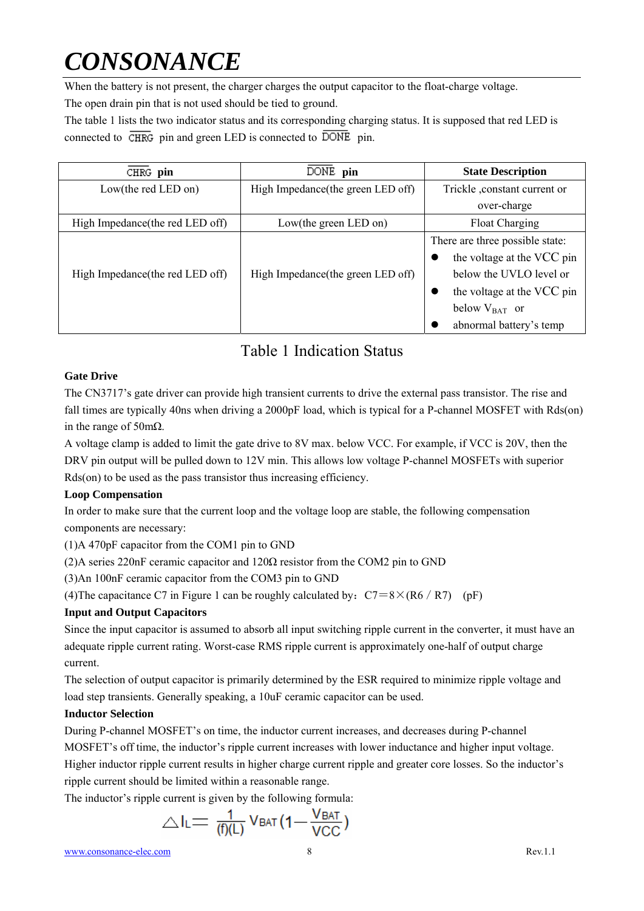When the battery is not present, the charger charges the output capacitor to the float-charge voltage. The open drain pin that is not used should be tied to ground.

The table 1 lists the two indicator status and its corresponding charging status. It is supposed that red LED is connected to  $\overline{\text{CHRG}}$  pin and green LED is connected to  $\overline{\text{DONE}}$  pin.

| CHRG pin                         | DONE pin                           | <b>State Description</b>                                                                                                                                                |
|----------------------------------|------------------------------------|-------------------------------------------------------------------------------------------------------------------------------------------------------------------------|
| Low(the red LED on)              | High Impedance (the green LED off) | Trickle , constant current or                                                                                                                                           |
|                                  |                                    | over-charge                                                                                                                                                             |
| High Impedance (the red LED off) | Low(the green LED on)              | Float Charging                                                                                                                                                          |
| High Impedance (the red LED off) | High Impedance (the green LED off) | There are three possible state:<br>the voltage at the VCC pin<br>below the UVLO level or<br>the voltage at the VCC pin<br>below $V_{BAT}$ or<br>abnormal battery's temp |

## Table 1 Indication Status

#### **Gate Drive**

The CN3717's gate driver can provide high transient currents to drive the external pass transistor. The rise and fall times are typically 40ns when driving a 2000pF load, which is typical for a P-channel MOSFET with Rds(on) in the range of 50mΩ.

A voltage clamp is added to limit the gate drive to 8V max. below VCC. For example, if VCC is 20V, then the DRV pin output will be pulled down to 12V min. This allows low voltage P-channel MOSFETs with superior Rds(on) to be used as the pass transistor thus increasing efficiency.

#### **Loop Compensation**

In order to make sure that the current loop and the voltage loop are stable, the following compensation components are necessary:

(1)A 470pF capacitor from the COM1 pin to GND

(2)A series 220nF ceramic capacitor and  $120\Omega$  resistor from the COM2 pin to GND

(3)An 100nF ceramic capacitor from the COM3 pin to GND

(4) The capacitance C7 in Figure 1 can be roughly calculated by:  $C7=8\times (R6/R7)$  (pF)

#### **Input and Output Capacitors**

Since the input capacitor is assumed to absorb all input switching ripple current in the converter, it must have an adequate ripple current rating. Worst-case RMS ripple current is approximately one-half of output charge current.

The selection of output capacitor is primarily determined by the ESR required to minimize ripple voltage and load step transients. Generally speaking, a 10uF ceramic capacitor can be used.

#### **Inductor Selection**

During P-channel MOSFET's on time, the inductor current increases, and decreases during P-channel MOSFET's off time, the inductor's ripple current increases with lower inductance and higher input voltage. Higher inductor ripple current results in higher charge current ripple and greater core losses. So the inductor's ripple current should be limited within a reasonable range.

The inductor's ripple current is given by the following formula:

$$
\triangle I_L = \frac{1}{(f)(L)} V_{BAT} (1 - \frac{V_{BAT}}{VCC})
$$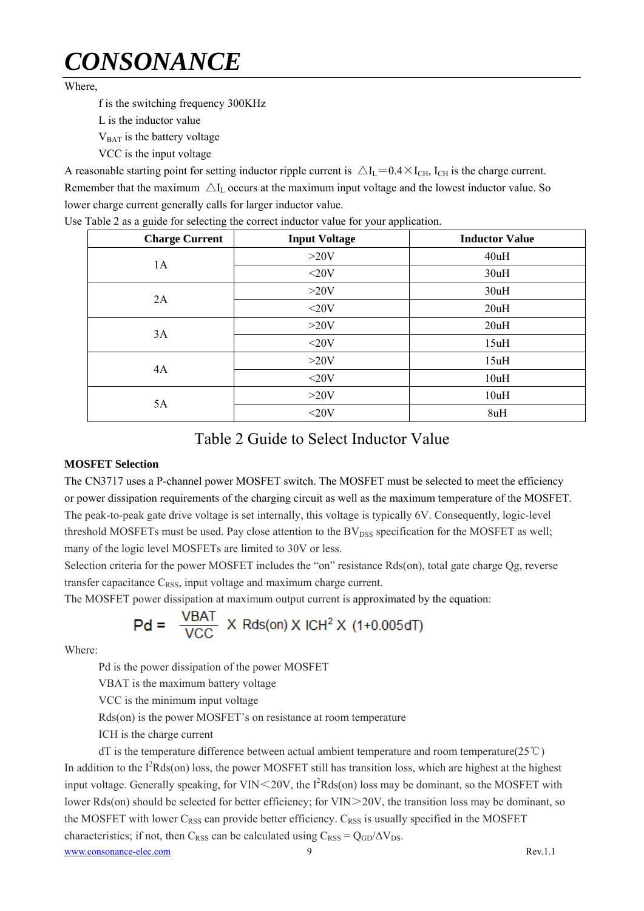Where

f is the switching frequency 300KHz

L is the inductor value

V<sub>BAT</sub> is the battery voltage

VCC is the input voltage

A reasonable starting point for setting inductor ripple current is  $\Delta I_L = 0.4 \times I_{CH}$ , I<sub>CH</sub> is the charge current. Remember that the maximum  $\Delta I_L$  occurs at the maximum input voltage and the lowest inductor value. So lower charge current generally calls for larger inductor value.

| <b>Charge Current</b> | <b>Input Voltage</b> | <b>Inductor Value</b> |
|-----------------------|----------------------|-----------------------|
|                       | $>20V$               | 40uH                  |
| 1A                    | $<$ 20V              | 30uH                  |
| 2A                    | $>20V$               | 30uH                  |
|                       | $<$ 20V              | 20uH                  |
|                       | $>20V$               | 20uH                  |
| 3A                    | $<$ 20V              | 15uH                  |
| 4A                    | $>20V$               | 15uH                  |
|                       | $<$ 20V              | 10uH                  |
| 5A                    | $>20V$               | 10uH                  |
|                       | $<$ 20V              | 8uH                   |

Use Table 2 as a guide for selecting the correct inductor value for your application.

### Table 2 Guide to Select Inductor Value

#### **MOSFET Selection**

The CN3717 uses a P-channel power MOSFET switch. The MOSFET must be selected to meet the efficiency or power dissipation requirements of the charging circuit as well as the maximum temperature of the MOSFET. The peak-to-peak gate drive voltage is set internally, this voltage is typically 6V. Consequently, logic-level threshold MOSFETs must be used. Pay close attention to the  $BV_{DSS}$  specification for the MOSFET as well; many of the logic level MOSFETs are limited to 30V or less.

Selection criteria for the power MOSFET includes the "on" resistance Rds(on), total gate charge Qg, reverse transfer capacitance  $C_{RSS}$ , input voltage and maximum charge current.

The MOSFET power dissipation at maximum output current is approximated by the equation:

$$
Pd = \frac{VBAT}{VCC} \times Rds(0n) \times ICH^2 \times (1+0.005dT)
$$

Where:

Pd is the power dissipation of the power MOSFET

VBAT is the maximum battery voltage

VCC is the minimum input voltage

Rds(on) is the power MOSFET's on resistance at room temperature

ICH is the charge current

www.consonance-elec.com 9 Rev.1.1 dT is the temperature difference between actual ambient temperature and room temperature(25℃) In addition to the  $I^2Rds($ on) loss, the power MOSFET still has transition loss, which are highest at the highest input voltage. Generally speaking, for VIN $\leq$ 20V, the I<sup>2</sup>Rds(on) loss may be dominant, so the MOSFET with lower Rds(on) should be selected for better efficiency; for  $VIN > 20V$ , the transition loss may be dominant, so the MOSFET with lower  $C_{RSS}$  can provide better efficiency.  $C_{RSS}$  is usually specified in the MOSFET characteristics; if not, then C<sub>RSS</sub> can be calculated using  $C_{RSS} = Q_{GD}/\Delta V_{DS}$ .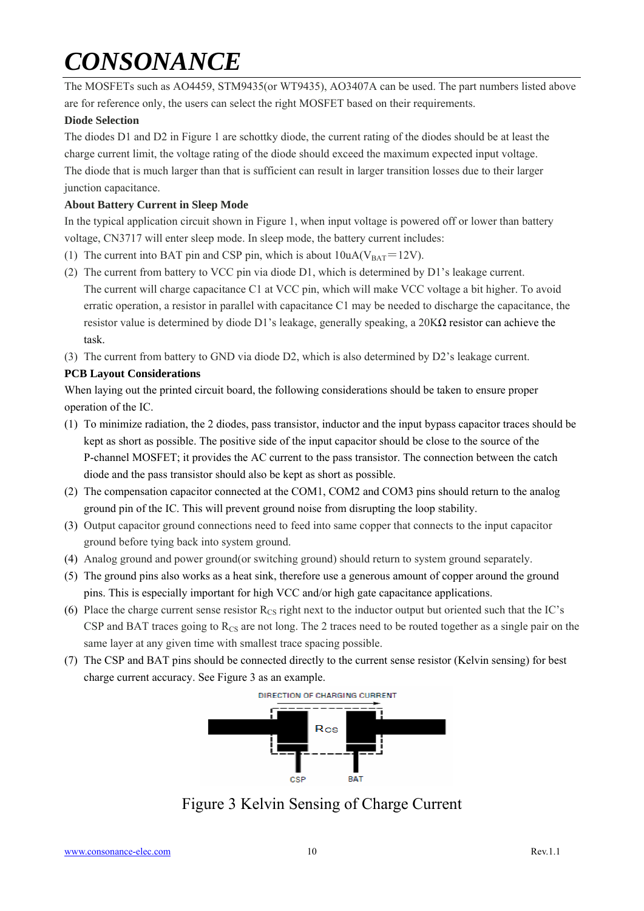The MOSFETs such as AO4459, STM9435(or WT9435), AO3407A can be used. The part numbers listed above are for reference only, the users can select the right MOSFET based on their requirements.

#### **Diode Selection**

The diodes D1 and D2 in Figure 1 are schottky diode, the current rating of the diodes should be at least the charge current limit, the voltage rating of the diode should exceed the maximum expected input voltage. The diode that is much larger than that is sufficient can result in larger transition losses due to their larger junction capacitance.

#### **About Battery Current in Sleep Mode**

In the typical application circuit shown in Figure 1, when input voltage is powered off or lower than battery voltage, CN3717 will enter sleep mode. In sleep mode, the battery current includes:

- (1) The current into BAT pin and CSP pin, which is about  $10uA(V<sub>BAT</sub>=12V)$ .
- (2) The current from battery to VCC pin via diode D1, which is determined by D1's leakage current. The current will charge capacitance C1 at VCC pin, which will make VCC voltage a bit higher. To avoid erratic operation, a resistor in parallel with capacitance C1 may be needed to discharge the capacitance, the resistor value is determined by diode D1's leakage, generally speaking, a  $20K\Omega$  resistor can achieve the task.
- (3) The current from battery to GND via diode D2, which is also determined by D2's leakage current.

#### **PCB Layout Considerations**

When laying out the printed circuit board, the following considerations should be taken to ensure proper operation of the IC.

- (1) To minimize radiation, the 2 diodes, pass transistor, inductor and the input bypass capacitor traces should be kept as short as possible. The positive side of the input capacitor should be close to the source of the P-channel MOSFET; it provides the AC current to the pass transistor. The connection between the catch diode and the pass transistor should also be kept as short as possible.
- (2) The compensation capacitor connected at the COM1, COM2 and COM3 pins should return to the analog ground pin of the IC. This will prevent ground noise from disrupting the loop stability.
- (3) Output capacitor ground connections need to feed into same copper that connects to the input capacitor ground before tying back into system ground.
- (4) Analog ground and power ground(or switching ground) should return to system ground separately.
- (5) The ground pins also works as a heat sink, therefore use a generous amount of copper around the ground pins. This is especially important for high VCC and/or high gate capacitance applications.
- (6) Place the charge current sense resistor  $R_{CS}$  right next to the inductor output but oriented such that the IC's CSP and BAT traces going to  $R_{CS}$  are not long. The 2 traces need to be routed together as a single pair on the same layer at any given time with smallest trace spacing possible.
- (7) The CSP and BAT pins should be connected directly to the current sense resistor (Kelvin sensing) for best charge current accuracy. See Figure 3 as an example.



Figure 3 Kelvin Sensing of Charge Current